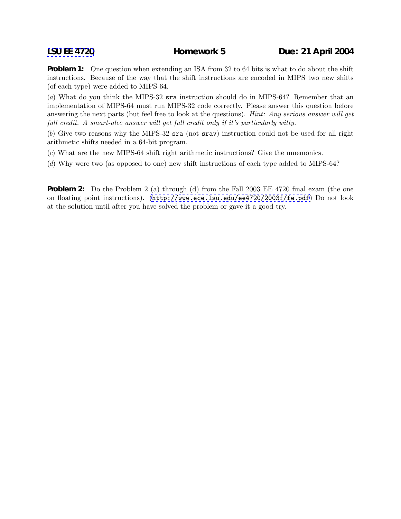**Problem 1:** One question when extending an ISA from 32 to 64 bits is what to do about the shift instructions. Because of the way that the shift instructions are encoded in MIPS two new shifts (of each type) were added to MIPS-64.

(*a*) What do you think the MIPS-32 sra instruction should do in MIPS-64? Remember that an implementation of MIPS-64 must run MIPS-32 code correctly. Please answer this question before answering the next parts (but feel free to look at the questions). *Hint: Any serious answer will get full credit. A smart-alec answer will get full credit only if it's particularly witty.*

(*b*) Give two reasons why the MIPS-32 sra (not srav) instruction could not be used for all right arithmetic shifts needed in a 64-bit program.

- (*c*) What are the new MIPS-64 shift right arithmetic instructions? Give the mnemonics.
- (*d*) Why were two (as opposed to one) new shift instructions of each type added to MIPS-64?

**Problem 2:** Do the Problem 2 (a) through (d) from the Fall 2003 EE 4720 final exam (the one on floating point instructions). (<http://www.ece.lsu.edu/ee4720/2003f/fe.pdf>) Do not look at the solution until after you have solved the problem or gave it a good try.